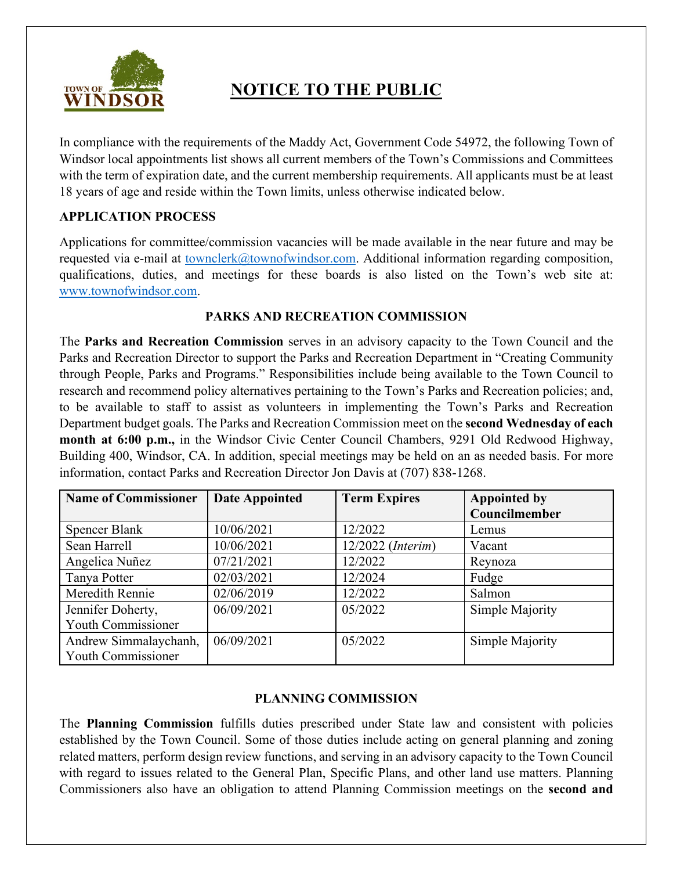

# **NOTICE TO THE PUBLIC**

In compliance with the requirements of the Maddy Act, Government Code 54972, the following Town of Windsor local appointments list shows all current members of the Town's Commissions and Committees with the term of expiration date, and the current membership requirements. All applicants must be at least 18 years of age and reside within the Town limits, unless otherwise indicated below.

# **APPLICATION PROCESS**

Applications for committee/commission vacancies will be made available in the near future and may be requested via e-mail at [townclerk@townofwindsor.com.](mailto:townclerk@townofwindsor.com) Additional information regarding composition, qualifications, duties, and meetings for these boards is also listed on the Town's web site at: [www.townofwindsor.com.](http://www.townofwindsor.com/)

# **PARKS AND RECREATION COMMISSION**

The **Parks and Recreation Commission** serves in an advisory capacity to the Town Council and the Parks and Recreation Director to support the Parks and Recreation Department in "Creating Community through People, Parks and Programs." Responsibilities include being available to the Town Council to research and recommend policy alternatives pertaining to the Town's Parks and Recreation policies; and, to be available to staff to assist as volunteers in implementing the Town's Parks and Recreation Department budget goals. The Parks and Recreation Commission meet on the **second Wednesday of each month at 6:00 p.m.,** in the Windsor Civic Center Council Chambers, 9291 Old Redwood Highway, Building 400, Windsor, CA. In addition, special meetings may be held on an as needed basis. For more information, contact Parks and Recreation Director Jon Davis at (707) 838-1268.

| <b>Name of Commissioner</b> | <b>Date Appointed</b> | <b>Term Expires</b>        | <b>Appointed by</b> |
|-----------------------------|-----------------------|----------------------------|---------------------|
|                             |                       |                            | Councilmember       |
| <b>Spencer Blank</b>        | 10/06/2021            | 12/2022                    | Lemus               |
| Sean Harrell                | 10/06/2021            | 12/2022 ( <i>Interim</i> ) | Vacant              |
| Angelica Nuñez              | 07/21/2021            | 12/2022                    | Reynoza             |
| Tanya Potter                | 02/03/2021            | 12/2024                    | Fudge               |
| Meredith Rennie             | 02/06/2019            | 12/2022                    | Salmon              |
| Jennifer Doherty,           | 06/09/2021            | 05/2022                    | Simple Majority     |
| <b>Youth Commissioner</b>   |                       |                            |                     |
| Andrew Simmalaychanh,       | 06/09/2021            | 05/2022                    | Simple Majority     |
| <b>Youth Commissioner</b>   |                       |                            |                     |

# **PLANNING COMMISSION**

The **Planning Commission** fulfills duties prescribed under State law and consistent with policies established by the Town Council. Some of those duties include acting on general planning and zoning related matters, perform design review functions, and serving in an advisory capacity to the Town Council with regard to issues related to the General Plan, Specific Plans, and other land use matters. Planning Commissioners also have an obligation to attend Planning Commission meetings on the **second and**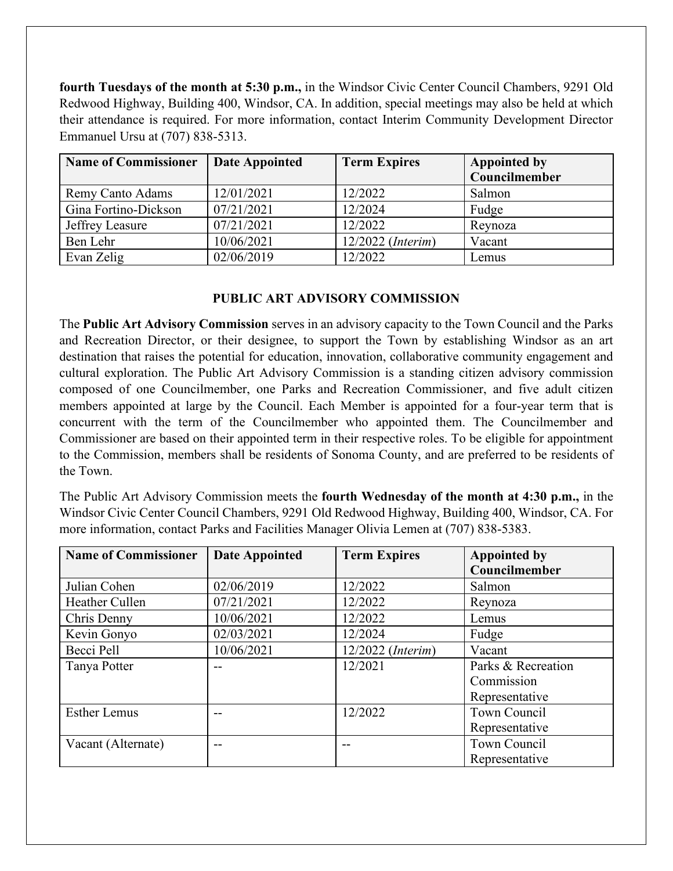**fourth Tuesdays of the month at 5:30 p.m.,** in the Windsor Civic Center Council Chambers, 9291 Old Redwood Highway, Building 400, Windsor, CA. In addition, special meetings may also be held at which their attendance is required. For more information, contact Interim Community Development Director Emmanuel Ursu at (707) 838-5313.

| <b>Name of Commissioner</b> | Date Appointed | <b>Term Expires</b>          | <b>Appointed by</b> |
|-----------------------------|----------------|------------------------------|---------------------|
|                             |                |                              | Councilmember       |
| Remy Canto Adams            | 12/01/2021     | 12/2022                      | Salmon              |
| Gina Fortino-Dickson        | 07/21/2021     | 12/2024                      | Fudge               |
| Jeffrey Leasure             | 07/21/2021     | 12/2022                      | Reynoza             |
| Ben Lehr                    | 10/06/2021     | $12/2022$ ( <i>Interim</i> ) | Vacant              |
| Evan Zelig                  | 02/06/2019     | 12/2022                      | Lemus               |

#### **PUBLIC ART ADVISORY COMMISSION**

The **Public Art Advisory Commission** serves in an advisory capacity to the Town Council and the Parks and Recreation Director, or their designee, to support the Town by establishing Windsor as an art destination that raises the potential for education, innovation, collaborative community engagement and cultural exploration. The Public Art Advisory Commission is a standing citizen advisory commission composed of one Councilmember, one Parks and Recreation Commissioner, and five adult citizen members appointed at large by the Council. Each Member is appointed for a four-year term that is concurrent with the term of the Councilmember who appointed them. The Councilmember and Commissioner are based on their appointed term in their respective roles. To be eligible for appointment to the Commission, members shall be residents of Sonoma County, and are preferred to be residents of the Town.

The Public Art Advisory Commission meets the **fourth Wednesday of the month at 4:30 p.m.,** in the Windsor Civic Center Council Chambers, 9291 Old Redwood Highway, Building 400, Windsor, CA. For more information, contact Parks and Facilities Manager Olivia Lemen at (707) 838-5383.

| <b>Name of Commissioner</b> | <b>Date Appointed</b> | <b>Term Expires</b>        | <b>Appointed by</b> |
|-----------------------------|-----------------------|----------------------------|---------------------|
|                             |                       |                            | Councilmember       |
| Julian Cohen                | 02/06/2019            | 12/2022                    | Salmon              |
| Heather Cullen              | 07/21/2021            | 12/2022                    | Reynoza             |
| Chris Denny                 | 10/06/2021            | 12/2022                    | Lemus               |
| Kevin Gonyo                 | 02/03/2021            | 12/2024                    | Fudge               |
| Becci Pell                  | 10/06/2021            | 12/2022 ( <i>Interim</i> ) | Vacant              |
| Tanya Potter                | --                    | 12/2021                    | Parks & Recreation  |
|                             |                       |                            | Commission          |
|                             |                       |                            | Representative      |
| <b>Esther Lemus</b>         |                       | 12/2022                    | Town Council        |
|                             |                       |                            | Representative      |
| Vacant (Alternate)          |                       |                            | Town Council        |
|                             |                       |                            | Representative      |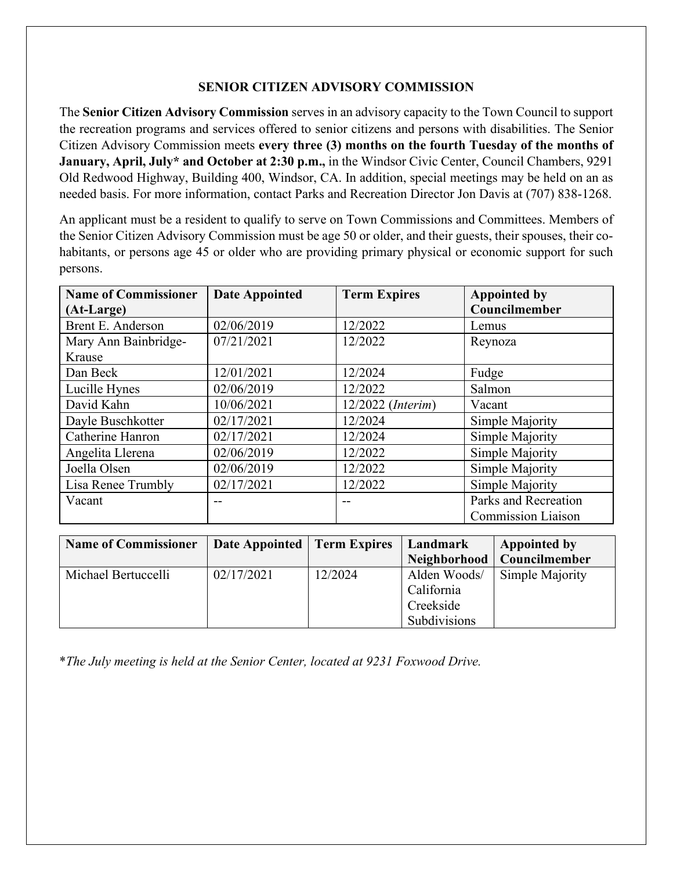## **SENIOR CITIZEN ADVISORY COMMISSION**

The **Senior Citizen Advisory Commission** serves in an advisory capacity to the Town Council to support the recreation programs and services offered to senior citizens and persons with disabilities. The Senior Citizen Advisory Commission meets **every three (3) months on the fourth Tuesday of the months of January, April, July\* and October at 2:30 p.m.,** in the Windsor Civic Center, Council Chambers, 9291 Old Redwood Highway, Building 400, Windsor, CA. In addition, special meetings may be held on an as needed basis. For more information, contact Parks and Recreation Director Jon Davis at (707) 838-1268.

An applicant must be a resident to qualify to serve on Town Commissions and Committees. Members of the Senior Citizen Advisory Commission must be age 50 or older, and their guests, their spouses, their cohabitants, or persons age 45 or older who are providing primary physical or economic support for such persons.

| <b>Name of Commissioner</b> | <b>Date Appointed</b> | <b>Term Expires</b>        | <b>Appointed by</b>       |
|-----------------------------|-----------------------|----------------------------|---------------------------|
| (At-Large)                  |                       |                            | Councilmember             |
| <b>Brent E. Anderson</b>    | 02/06/2019            | 12/2022                    | Lemus                     |
| Mary Ann Bainbridge-        | 07/21/2021            | 12/2022                    | Reynoza                   |
| Krause                      |                       |                            |                           |
| Dan Beck                    | 12/01/2021            | 12/2024                    | Fudge                     |
| Lucille Hynes               | 02/06/2019            | 12/2022                    | Salmon                    |
| David Kahn                  | 10/06/2021            | 12/2022 ( <i>Interim</i> ) | Vacant                    |
| Dayle Buschkotter           | 02/17/2021            | 12/2024                    | Simple Majority           |
| Catherine Hanron            | 02/17/2021            | 12/2024                    | Simple Majority           |
| Angelita Llerena            | 02/06/2019            | 12/2022                    | Simple Majority           |
| Joella Olsen                | 02/06/2019            | 12/2022                    | Simple Majority           |
| Lisa Renee Trumbly          | 02/17/2021            | 12/2022                    | Simple Majority           |
| Vacant                      |                       |                            | Parks and Recreation      |
|                             |                       |                            | <b>Commission Liaison</b> |

| <b>Name of Commissioner</b> | Date Appointed   Term Expires |         | Landmark     | Appointed by                 |
|-----------------------------|-------------------------------|---------|--------------|------------------------------|
|                             |                               |         |              | Neighborhood   Councilmember |
| Michael Bertuccelli         | 02/17/2021                    | 12/2024 | Alden Woods/ | Simple Majority              |
|                             |                               |         | California   |                              |
|                             |                               |         | Creekside    |                              |
|                             |                               |         | Subdivisions |                              |

\**The July meeting is held at the Senior Center, located at 9231 Foxwood Drive.*